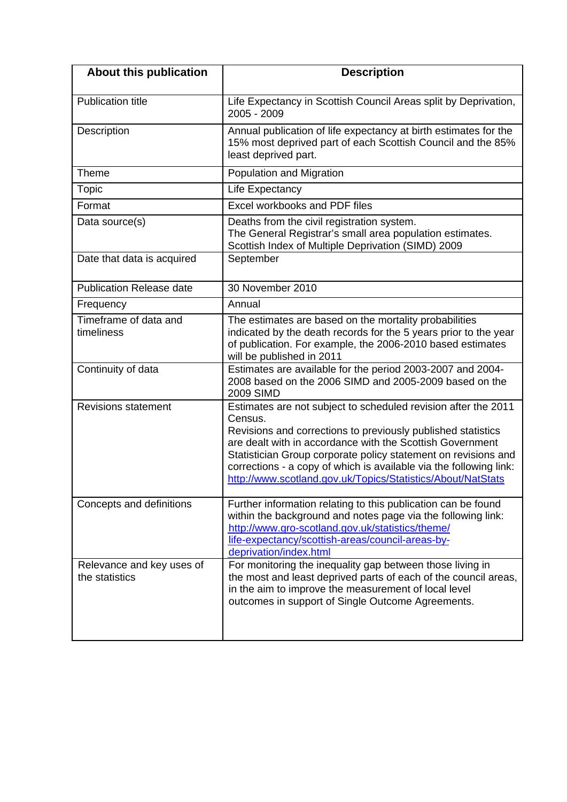| About this publication                      | <b>Description</b>                                                                                                                                                                                                                                                                                                                                                                                            |
|---------------------------------------------|---------------------------------------------------------------------------------------------------------------------------------------------------------------------------------------------------------------------------------------------------------------------------------------------------------------------------------------------------------------------------------------------------------------|
| <b>Publication title</b>                    | Life Expectancy in Scottish Council Areas split by Deprivation,<br>$2005 - 2009$                                                                                                                                                                                                                                                                                                                              |
| Description                                 | Annual publication of life expectancy at birth estimates for the<br>15% most deprived part of each Scottish Council and the 85%<br>least deprived part.                                                                                                                                                                                                                                                       |
| Theme                                       | Population and Migration                                                                                                                                                                                                                                                                                                                                                                                      |
| Topic                                       | Life Expectancy                                                                                                                                                                                                                                                                                                                                                                                               |
| Format                                      | Excel workbooks and PDF files                                                                                                                                                                                                                                                                                                                                                                                 |
| Data source(s)                              | Deaths from the civil registration system.<br>The General Registrar's small area population estimates.<br>Scottish Index of Multiple Deprivation (SIMD) 2009                                                                                                                                                                                                                                                  |
| Date that data is acquired                  | September                                                                                                                                                                                                                                                                                                                                                                                                     |
| <b>Publication Release date</b>             | 30 November 2010                                                                                                                                                                                                                                                                                                                                                                                              |
| Frequency                                   | Annual                                                                                                                                                                                                                                                                                                                                                                                                        |
| Timeframe of data and<br>timeliness         | The estimates are based on the mortality probabilities<br>indicated by the death records for the 5 years prior to the year<br>of publication. For example, the 2006-2010 based estimates<br>will be published in 2011                                                                                                                                                                                         |
| Continuity of data                          | Estimates are available for the period 2003-2007 and 2004-<br>2008 based on the 2006 SIMD and 2005-2009 based on the<br>2009 SIMD                                                                                                                                                                                                                                                                             |
| <b>Revisions statement</b>                  | Estimates are not subject to scheduled revision after the 2011<br>Census.<br>Revisions and corrections to previously published statistics<br>are dealt with in accordance with the Scottish Government<br>Statistician Group corporate policy statement on revisions and<br>corrections - a copy of which is available via the following link:<br>http://www.scotland.gov.uk/Topics/Statistics/About/NatStats |
| Concepts and definitions                    | Further information relating to this publication can be found<br>within the background and notes page via the following link:<br>http://www.gro-scotland.gov.uk/statistics/theme/<br>life-expectancy/scottish-areas/council-areas-by-<br>deprivation/index.html                                                                                                                                               |
| Relevance and key uses of<br>the statistics | For monitoring the inequality gap between those living in<br>the most and least deprived parts of each of the council areas,<br>in the aim to improve the measurement of local level<br>outcomes in support of Single Outcome Agreements.                                                                                                                                                                     |